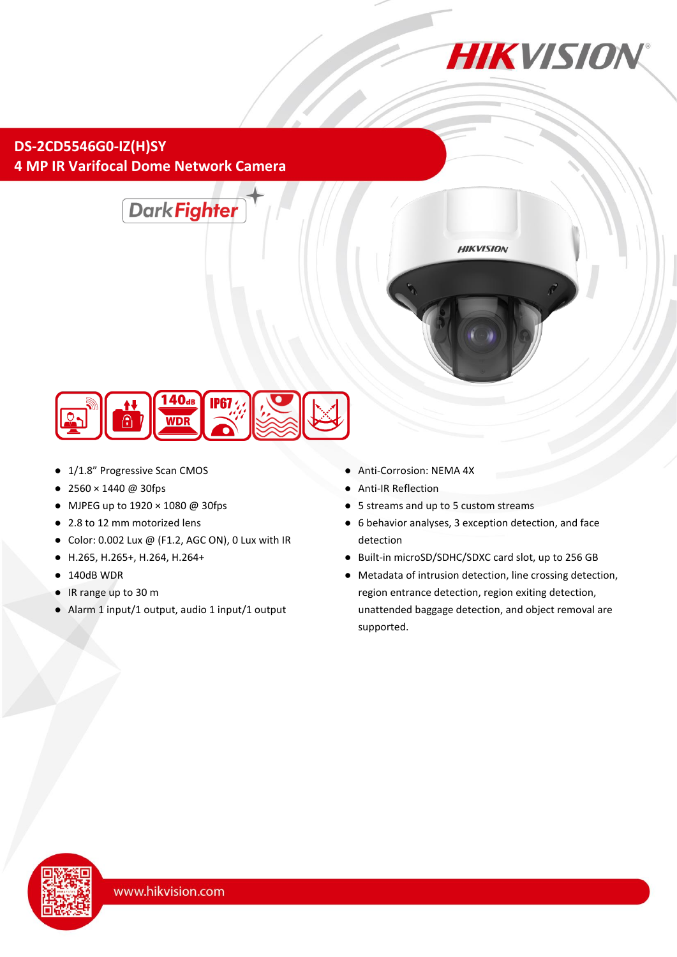

## **DS-2CD5546G0-IZ(H)SY 4 MP IR Varifocal Dome Network Camera**





- 1/1.8" Progressive Scan CMOS
- 2560 × 1440 @ 30fps
- MJPEG up to 1920 × 1080 @ 30fps
- 2.8 to 12 mm motorized lens
- $\bullet$  Color: 0.002 Lux @ (F1.2, AGC ON), 0 Lux with IR
- H.265, H.265+, H.264, H.264+
- 140dB WDR
- IR range up to 30 m
- Alarm 1 input/1 output, audio 1 input/1 output
- Anti-Corrosion: NEMA 4X
- **Anti-IR Reflection**
- 5 streams and up to 5 custom streams
- 6 behavior analyses, 3 exception detection, and face detection

**HIKVISION** 

- Built-in microSD/SDHC/SDXC card slot, up to 256 GB
- Metadata of intrusion detection, line crossing detection, region entrance detection, region exiting detection, unattended baggage detection, and object removal are supported.

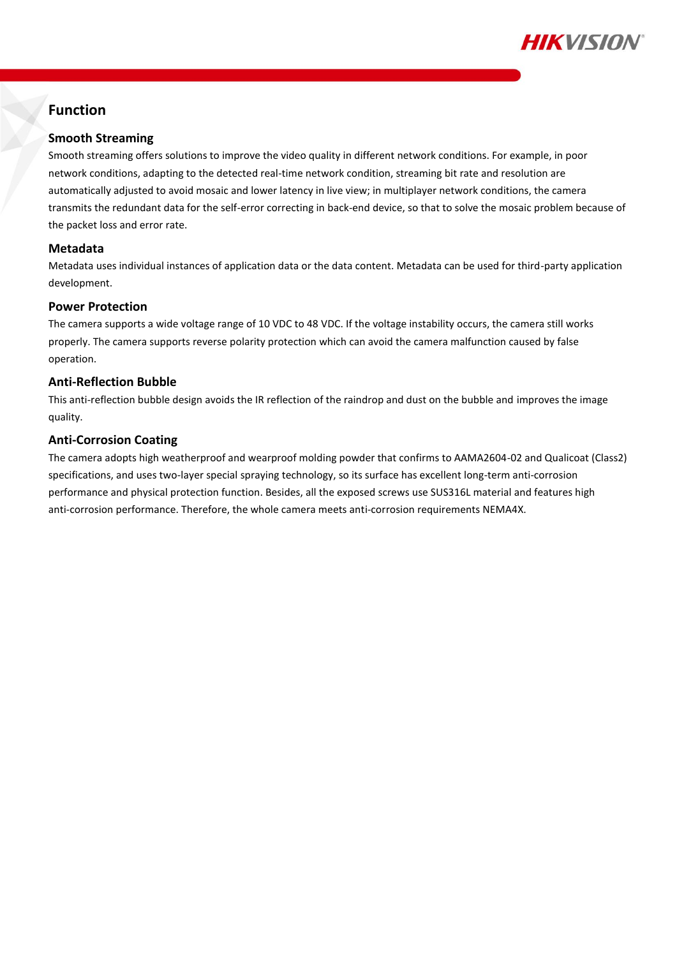

### **Function**

### **Smooth Streaming**

Smooth streaming offers solutions to improve the video quality in different network conditions. For example, in poor network conditions, adapting to the detected real-time network condition, streaming bit rate and resolution are automatically adjusted to avoid mosaic and lower latency in live view; in multiplayer network conditions, the camera transmits the redundant data for the self-error correcting in back-end device, so that to solve the mosaic problem because of the packet loss and error rate.

### **Metadata**

Metadata uses individual instances of application data or the data content. Metadata can be used for third-party application development.

#### **Power Protection**

The camera supports a wide voltage range of 10 VDC to 48 VDC. If the voltage instability occurs, the camera still works properly. The camera supports reverse polarity protection which can avoid the camera malfunction caused by false operation.

### **Anti-Reflection Bubble**

This anti-reflection bubble design avoids the IR reflection of the raindrop and dust on the bubble and improves the image quality.

### **Anti-Corrosion Coating**

The camera adopts high weatherproof and wearproof molding powder that confirms to AAMA2604-02 and Qualicoat (Class2) specifications, and uses two-layer special spraying technology, so its surface has excellent long-term anti-corrosion performance and physical protection function. Besides, all the exposed screws use SUS316L material and features high anti-corrosion performance. Therefore, the whole camera meets anti-corrosion requirements NEMA4X.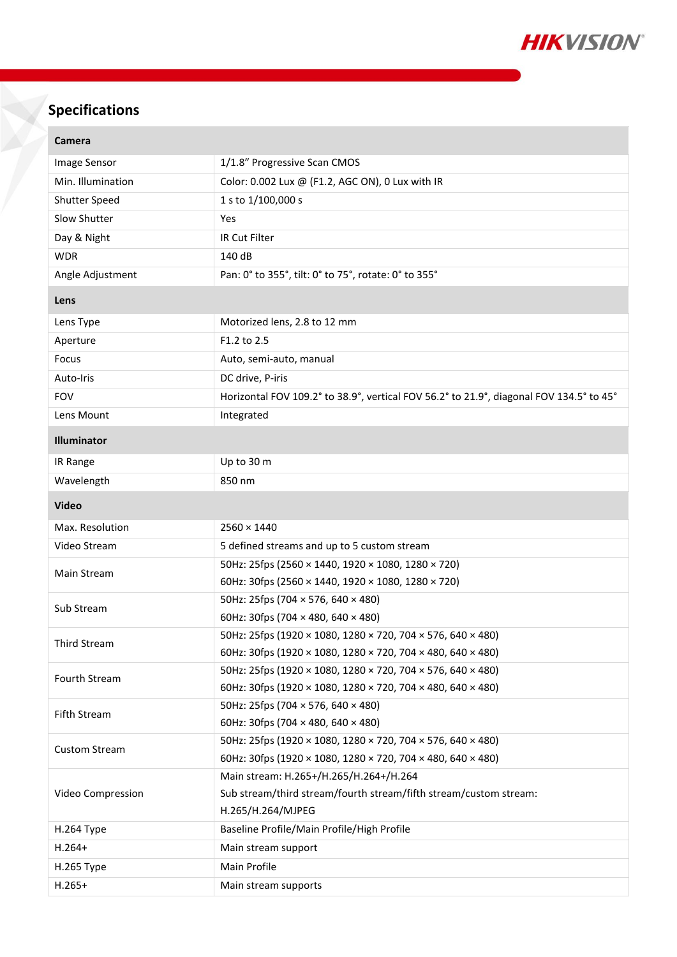

# **Specifications**

×

| Camera               |                                                                                                   |  |
|----------------------|---------------------------------------------------------------------------------------------------|--|
| Image Sensor         | 1/1.8" Progressive Scan CMOS                                                                      |  |
| Min. Illumination    | Color: 0.002 Lux @ (F1.2, AGC ON), 0 Lux with IR                                                  |  |
| <b>Shutter Speed</b> | 1 s to 1/100,000 s                                                                                |  |
| Slow Shutter         | Yes                                                                                               |  |
| Day & Night          | IR Cut Filter                                                                                     |  |
| <b>WDR</b>           | 140 dB                                                                                            |  |
| Angle Adjustment     | Pan: 0° to 355°, tilt: 0° to 75°, rotate: 0° to 355°                                              |  |
| Lens                 |                                                                                                   |  |
| Lens Type            | Motorized lens, 2.8 to 12 mm                                                                      |  |
| Aperture             | F1.2 to 2.5                                                                                       |  |
| Focus                | Auto, semi-auto, manual                                                                           |  |
| Auto-Iris            | DC drive, P-iris                                                                                  |  |
| <b>FOV</b>           | Horizontal FOV 109.2° to 38.9°, vertical FOV 56.2° to 21.9°, diagonal FOV 134.5° to 45°           |  |
| Lens Mount           | Integrated                                                                                        |  |
| Illuminator          |                                                                                                   |  |
| IR Range             | Up to 30 m                                                                                        |  |
| Wavelength           | 850 nm                                                                                            |  |
| <b>Video</b>         |                                                                                                   |  |
| Max. Resolution      | $2560 \times 1440$                                                                                |  |
| Video Stream         | 5 defined streams and up to 5 custom stream                                                       |  |
|                      | 50Hz: 25fps (2560 × 1440, 1920 × 1080, 1280 × 720)                                                |  |
| Main Stream          | 60Hz: 30fps (2560 × 1440, 1920 × 1080, 1280 × 720)                                                |  |
| Sub Stream           | 50Hz: 25fps (704 $\times$ 576, 640 $\times$ 480)                                                  |  |
|                      | 60Hz: 30fps (704 $\times$ 480, 640 $\times$ 480)                                                  |  |
| <b>Third Stream</b>  | 50Hz: 25fps (1920 × 1080, 1280 × 720, 704 × 576, 640 × 480)                                       |  |
|                      | 60Hz: 30fps (1920 × 1080, 1280 × 720, 704 × 480, 640 × 480)                                       |  |
| Fourth Stream        | 50Hz: 25fps (1920 × 1080, 1280 × 720, 704 × 576, 640 × 480)                                       |  |
|                      | 60Hz: 30fps (1920 × 1080, 1280 × 720, 704 × 480, 640 × 480)<br>50Hz: 25fps (704 × 576, 640 × 480) |  |
| Fifth Stream         | 60Hz: 30fps (704 $\times$ 480, 640 $\times$ 480)                                                  |  |
|                      | 50Hz: 25fps (1920 × 1080, 1280 × 720, 704 × 576, 640 × 480)                                       |  |
| <b>Custom Stream</b> | 60Hz: 30fps (1920 × 1080, 1280 × 720, 704 × 480, 640 × 480)                                       |  |
| Video Compression    | Main stream: H.265+/H.265/H.264+/H.264                                                            |  |
|                      | Sub stream/third stream/fourth stream/fifth stream/custom stream:                                 |  |
|                      | H.265/H.264/MJPEG                                                                                 |  |
| H.264 Type           | Baseline Profile/Main Profile/High Profile                                                        |  |
| $H.264+$             | Main stream support                                                                               |  |
| H.265 Type           | Main Profile                                                                                      |  |
|                      |                                                                                                   |  |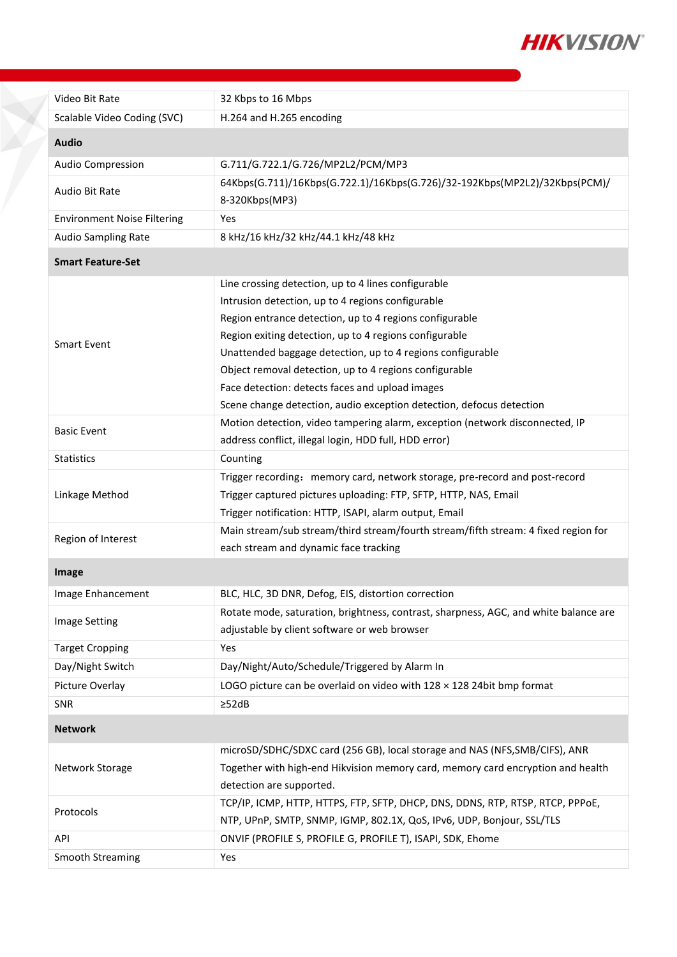

| Video Bit Rate                     | 32 Kbps to 16 Mbps                                                                   |
|------------------------------------|--------------------------------------------------------------------------------------|
| Scalable Video Coding (SVC)        | H.264 and H.265 encoding                                                             |
| <b>Audio</b>                       |                                                                                      |
| <b>Audio Compression</b>           | G.711/G.722.1/G.726/MP2L2/PCM/MP3                                                    |
|                                    | 64Kbps(G.711)/16Kbps(G.722.1)/16Kbps(G.726)/32-192Kbps(MP2L2)/32Kbps(PCM)/           |
| Audio Bit Rate                     | 8-320Kbps(MP3)                                                                       |
| <b>Environment Noise Filtering</b> | Yes                                                                                  |
| <b>Audio Sampling Rate</b>         | 8 kHz/16 kHz/32 kHz/44.1 kHz/48 kHz                                                  |
| <b>Smart Feature-Set</b>           |                                                                                      |
|                                    | Line crossing detection, up to 4 lines configurable                                  |
|                                    | Intrusion detection, up to 4 regions configurable                                    |
|                                    | Region entrance detection, up to 4 regions configurable                              |
| <b>Smart Event</b>                 | Region exiting detection, up to 4 regions configurable                               |
|                                    | Unattended baggage detection, up to 4 regions configurable                           |
|                                    | Object removal detection, up to 4 regions configurable                               |
|                                    | Face detection: detects faces and upload images                                      |
|                                    | Scene change detection, audio exception detection, defocus detection                 |
|                                    | Motion detection, video tampering alarm, exception (network disconnected, IP         |
| <b>Basic Event</b>                 | address conflict, illegal login, HDD full, HDD error)                                |
| <b>Statistics</b>                  | Counting                                                                             |
| Linkage Method                     | Trigger recording: memory card, network storage, pre-record and post-record          |
|                                    | Trigger captured pictures uploading: FTP, SFTP, HTTP, NAS, Email                     |
|                                    | Trigger notification: HTTP, ISAPI, alarm output, Email                               |
| Region of Interest                 | Main stream/sub stream/third stream/fourth stream/fifth stream: 4 fixed region for   |
|                                    | each stream and dynamic face tracking                                                |
| <b>Image</b>                       |                                                                                      |
| Image Enhancement                  | BLC, HLC, 3D DNR, Defog, EIS, distortion correction                                  |
|                                    | Rotate mode, saturation, brightness, contrast, sharpness, AGC, and white balance are |
| <b>Image Setting</b>               | adjustable by client software or web browser                                         |
| <b>Target Cropping</b>             | Yes                                                                                  |
| Day/Night Switch                   | Day/Night/Auto/Schedule/Triggered by Alarm In                                        |
| Picture Overlay                    | LOGO picture can be overlaid on video with 128 x 128 24bit bmp format                |
| SNR                                | $\geq$ 52dB                                                                          |
| <b>Network</b>                     |                                                                                      |
| Network Storage                    | microSD/SDHC/SDXC card (256 GB), local storage and NAS (NFS, SMB/CIFS), ANR          |
|                                    | Together with high-end Hikvision memory card, memory card encryption and health      |
|                                    | detection are supported.                                                             |
| Protocols                          | TCP/IP, ICMP, HTTP, HTTPS, FTP, SFTP, DHCP, DNS, DDNS, RTP, RTSP, RTCP, PPPoE,       |
|                                    | NTP, UPnP, SMTP, SNMP, IGMP, 802.1X, QoS, IPv6, UDP, Bonjour, SSL/TLS                |
| API                                | ONVIF (PROFILE S, PROFILE G, PROFILE T), ISAPI, SDK, Ehome                           |
| Smooth Streaming                   | Yes                                                                                  |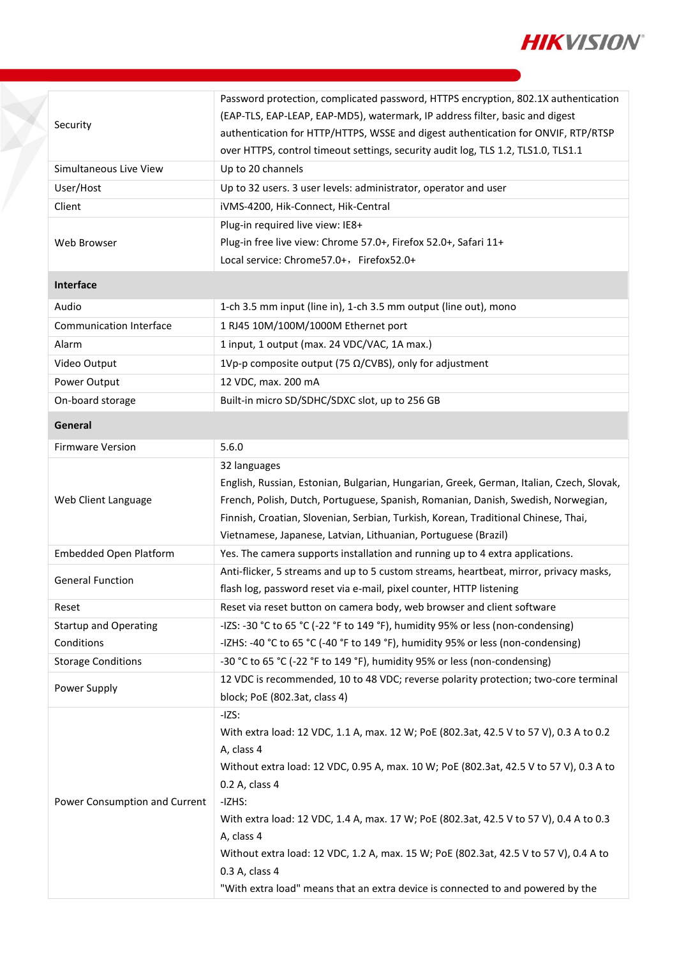

| Security                       | Password protection, complicated password, HTTPS encryption, 802.1X authentication<br>(EAP-TLS, EAP-LEAP, EAP-MD5), watermark, IP address filter, basic and digest |
|--------------------------------|--------------------------------------------------------------------------------------------------------------------------------------------------------------------|
|                                | authentication for HTTP/HTTPS, WSSE and digest authentication for ONVIF, RTP/RTSP                                                                                  |
|                                | over HTTPS, control timeout settings, security audit log, TLS 1.2, TLS1.0, TLS1.1                                                                                  |
| Simultaneous Live View         | Up to 20 channels                                                                                                                                                  |
| User/Host                      | Up to 32 users. 3 user levels: administrator, operator and user                                                                                                    |
| Client                         | iVMS-4200, Hik-Connect, Hik-Central                                                                                                                                |
|                                | Plug-in required live view: IE8+                                                                                                                                   |
| Web Browser                    | Plug-in free live view: Chrome 57.0+, Firefox 52.0+, Safari 11+                                                                                                    |
|                                | Local service: Chrome 57.0+, Firefox 52.0+                                                                                                                         |
| Interface                      |                                                                                                                                                                    |
| Audio                          | 1-ch 3.5 mm input (line in), 1-ch 3.5 mm output (line out), mono                                                                                                   |
| <b>Communication Interface</b> | 1 RJ45 10M/100M/1000M Ethernet port                                                                                                                                |
| Alarm                          | 1 input, 1 output (max. 24 VDC/VAC, 1A max.)                                                                                                                       |
| Video Output                   | 1Vp-p composite output (75 $\Omega$ /CVBS), only for adjustment                                                                                                    |
| Power Output                   | 12 VDC, max. 200 mA                                                                                                                                                |
| On-board storage               | Built-in micro SD/SDHC/SDXC slot, up to 256 GB                                                                                                                     |
| General                        |                                                                                                                                                                    |
| <b>Firmware Version</b>        | 5.6.0                                                                                                                                                              |
|                                | 32 languages                                                                                                                                                       |
|                                | English, Russian, Estonian, Bulgarian, Hungarian, Greek, German, Italian, Czech, Slovak,                                                                           |
| Web Client Language            | French, Polish, Dutch, Portuguese, Spanish, Romanian, Danish, Swedish, Norwegian,                                                                                  |
|                                | Finnish, Croatian, Slovenian, Serbian, Turkish, Korean, Traditional Chinese, Thai,                                                                                 |
|                                | Vietnamese, Japanese, Latvian, Lithuanian, Portuguese (Brazil)                                                                                                     |
| <b>Embedded Open Platform</b>  | Yes. The camera supports installation and running up to 4 extra applications.                                                                                      |
| <b>General Function</b>        | Anti-flicker, 5 streams and up to 5 custom streams, heartbeat, mirror, privacy masks,                                                                              |
|                                | flash log, password reset via e-mail, pixel counter, HTTP listening                                                                                                |
| Reset                          | Reset via reset button on camera body, web browser and client software                                                                                             |
| <b>Startup and Operating</b>   | -IZS: -30 °C to 65 °C (-22 °F to 149 °F), humidity 95% or less (non-condensing)                                                                                    |
| Conditions                     | -IZHS: -40 °C to 65 °C (-40 °F to 149 °F), humidity 95% or less (non-condensing)                                                                                   |
| <b>Storage Conditions</b>      | -30 °C to 65 °C (-22 °F to 149 °F), humidity 95% or less (non-condensing)                                                                                          |
| Power Supply                   | 12 VDC is recommended, 10 to 48 VDC; reverse polarity protection; two-core terminal<br>block; PoE (802.3at, class 4)                                               |
|                                | $-IZS:$                                                                                                                                                            |
|                                | With extra load: 12 VDC, 1.1 A, max. 12 W; PoE (802.3at, 42.5 V to 57 V), 0.3 A to 0.2                                                                             |
|                                | A, class 4                                                                                                                                                         |
|                                | Without extra load: 12 VDC, 0.95 A, max. 10 W; PoE (802.3at, 42.5 V to 57 V), 0.3 A to                                                                             |
| Power Consumption and Current  | 0.2 A, class 4                                                                                                                                                     |
|                                | -IZHS:                                                                                                                                                             |
|                                | With extra load: 12 VDC, 1.4 A, max. 17 W; PoE (802.3at, 42.5 V to 57 V), 0.4 A to 0.3                                                                             |
|                                | A, class 4                                                                                                                                                         |
|                                | Without extra load: 12 VDC, 1.2 A, max. 15 W; PoE (802.3at, 42.5 V to 57 V), 0.4 A to<br>0.3 A, class 4                                                            |
|                                | "With extra load" means that an extra device is connected to and powered by the                                                                                    |
|                                |                                                                                                                                                                    |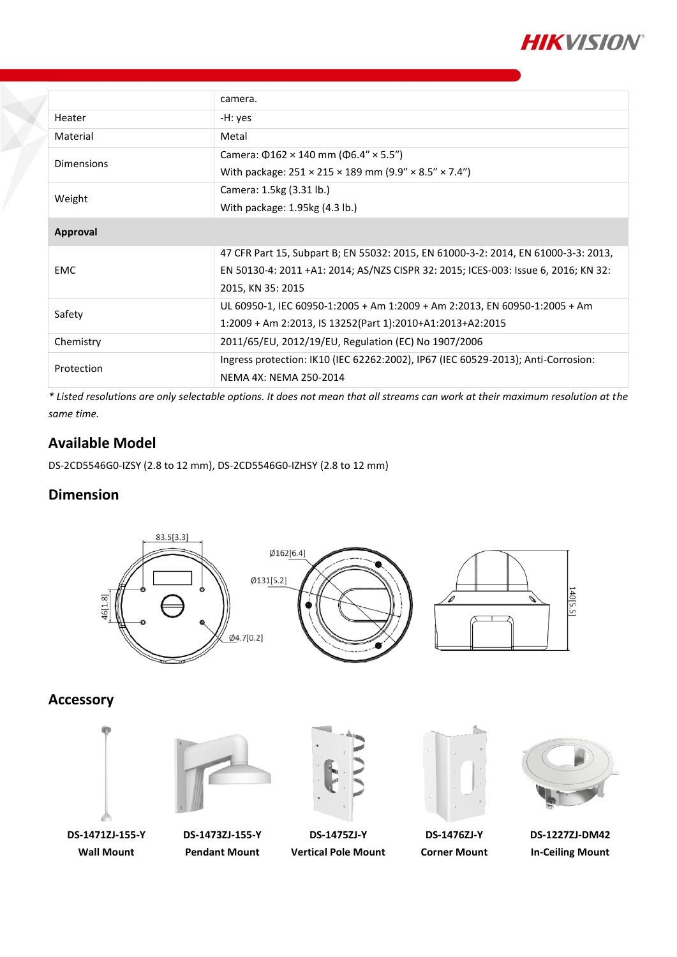

|            | camera.                                                                            |
|------------|------------------------------------------------------------------------------------|
| Heater     | -H: yes                                                                            |
| Material   | Metal                                                                              |
| Dimensions | Camera: $\Phi$ 162 × 140 mm ( $\Phi$ 6.4" × 5.5")                                  |
|            | With package: $251 \times 215 \times 189$ mm (9.9" $\times$ 8.5" $\times$ 7.4")    |
| Weight     | Camera: 1.5kg (3.31 lb.)                                                           |
|            | With package: 1.95kg (4.3 lb.)                                                     |
| Approval   |                                                                                    |
| <b>EMC</b> | 47 CFR Part 15, Subpart B; EN 55032: 2015, EN 61000-3-2: 2014, EN 61000-3-3: 2013, |
|            | EN 50130-4: 2011 +A1: 2014; AS/NZS CISPR 32: 2015; ICES-003: Issue 6, 2016; KN 32: |
|            | 2015, KN 35: 2015                                                                  |
| Safety     | UL 60950-1, IEC 60950-1:2005 + Am 1:2009 + Am 2:2013, EN 60950-1:2005 + Am         |
|            | 1:2009 + Am 2:2013, IS 13252(Part 1):2010+A1:2013+A2:2015                          |
| Chemistry  | 2011/65/EU, 2012/19/EU, Regulation (EC) No 1907/2006                               |
| Protection | Ingress protection: IK10 (IEC 62262:2002), IP67 (IEC 60529-2013); Anti-Corrosion:  |
|            | NEMA 4X: NEMA 250-2014                                                             |

*\* Listed resolutions are only selectable options. It does not mean that all streams can work at their maximum resolution at the same time.*

### **Available Model**

DS-2CD5546G0-IZSY (2.8 to 12 mm), DS-2CD5546G0-IZHSY (2.8 to 12 mm)

### **Dimension**



**Accessory**



**DS-1471ZJ-155-Y Wall Mount**

**DS-1473ZJ-155-Y Pendant Mount**



**DS-1475ZJ-Y Vertical Pole Mount**



**DS-1476ZJ-Y Corner Mount**



**DS-1227ZJ-DM42 In-Ceiling Mount**